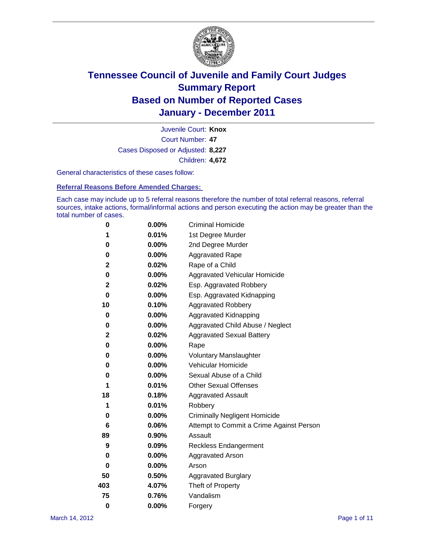

Court Number: **47** Juvenile Court: **Knox** Cases Disposed or Adjusted: **8,227** Children: **4,672**

General characteristics of these cases follow:

**Referral Reasons Before Amended Charges:** 

Each case may include up to 5 referral reasons therefore the number of total referral reasons, referral sources, intake actions, formal/informal actions and person executing the action may be greater than the total number of cases.

| 0        | $0.00\%$ | <b>Criminal Homicide</b>                 |
|----------|----------|------------------------------------------|
| 1        | 0.01%    | 1st Degree Murder                        |
| 0        | $0.00\%$ | 2nd Degree Murder                        |
| 0        | $0.00\%$ | <b>Aggravated Rape</b>                   |
| 2        | 0.02%    | Rape of a Child                          |
| 0        | 0.00%    | Aggravated Vehicular Homicide            |
| 2        | 0.02%    | Esp. Aggravated Robbery                  |
| 0        | $0.00\%$ | Esp. Aggravated Kidnapping               |
| 10       | 0.10%    | <b>Aggravated Robbery</b>                |
| 0        | $0.00\%$ | Aggravated Kidnapping                    |
| 0        | 0.00%    | Aggravated Child Abuse / Neglect         |
| 2        | 0.02%    | <b>Aggravated Sexual Battery</b>         |
| 0        | 0.00%    | Rape                                     |
| 0        | $0.00\%$ | <b>Voluntary Manslaughter</b>            |
| 0        | 0.00%    | Vehicular Homicide                       |
| 0        | 0.00%    | Sexual Abuse of a Child                  |
| 1        | 0.01%    | <b>Other Sexual Offenses</b>             |
| 18       | 0.18%    | <b>Aggravated Assault</b>                |
| 1        | 0.01%    | Robbery                                  |
| 0        | 0.00%    | <b>Criminally Negligent Homicide</b>     |
| 6        | 0.06%    | Attempt to Commit a Crime Against Person |
| 89       | 0.90%    | Assault                                  |
| 9        | 0.09%    | <b>Reckless Endangerment</b>             |
| 0        | 0.00%    | <b>Aggravated Arson</b>                  |
| 0        | 0.00%    | Arson                                    |
| 50       | 0.50%    | <b>Aggravated Burglary</b>               |
| 403      | 4.07%    | Theft of Property                        |
| 75       | 0.76%    | Vandalism                                |
| $\bf{0}$ | 0.00%    | Forgery                                  |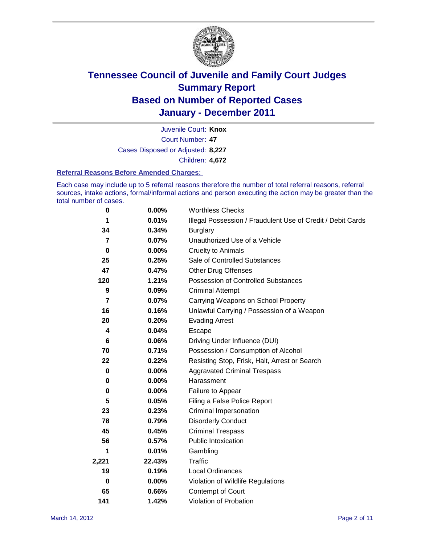

Court Number: **47** Juvenile Court: **Knox** Cases Disposed or Adjusted: **8,227** Children: **4,672**

#### **Referral Reasons Before Amended Charges:**

Each case may include up to 5 referral reasons therefore the number of total referral reasons, referral sources, intake actions, formal/informal actions and person executing the action may be greater than the total number of cases.

| 0     | 0.00%    | <b>Worthless Checks</b>                                     |
|-------|----------|-------------------------------------------------------------|
| 1     | 0.01%    | Illegal Possession / Fraudulent Use of Credit / Debit Cards |
| 34    | 0.34%    | <b>Burglary</b>                                             |
| 7     | 0.07%    | Unauthorized Use of a Vehicle                               |
| 0     | $0.00\%$ | <b>Cruelty to Animals</b>                                   |
| 25    | 0.25%    | Sale of Controlled Substances                               |
| 47    | 0.47%    | <b>Other Drug Offenses</b>                                  |
| 120   | 1.21%    | Possession of Controlled Substances                         |
| 9     | 0.09%    | <b>Criminal Attempt</b>                                     |
| 7     | 0.07%    | Carrying Weapons on School Property                         |
| 16    | 0.16%    | Unlawful Carrying / Possession of a Weapon                  |
| 20    | 0.20%    | <b>Evading Arrest</b>                                       |
| 4     | 0.04%    | Escape                                                      |
| 6     | 0.06%    | Driving Under Influence (DUI)                               |
| 70    | 0.71%    | Possession / Consumption of Alcohol                         |
| 22    | 0.22%    | Resisting Stop, Frisk, Halt, Arrest or Search               |
| 0     | $0.00\%$ | <b>Aggravated Criminal Trespass</b>                         |
| 0     | $0.00\%$ | Harassment                                                  |
| 0     | 0.00%    | Failure to Appear                                           |
| 5     | 0.05%    | Filing a False Police Report                                |
| 23    | 0.23%    | <b>Criminal Impersonation</b>                               |
| 78    | 0.79%    | <b>Disorderly Conduct</b>                                   |
| 45    | 0.45%    | <b>Criminal Trespass</b>                                    |
| 56    | 0.57%    | <b>Public Intoxication</b>                                  |
| 1     | 0.01%    | Gambling                                                    |
| 2,221 | 22.43%   | <b>Traffic</b>                                              |
| 19    | 0.19%    | Local Ordinances                                            |
| 0     | 0.00%    | Violation of Wildlife Regulations                           |
| 65    | 0.66%    | Contempt of Court                                           |
| 141   | 1.42%    | Violation of Probation                                      |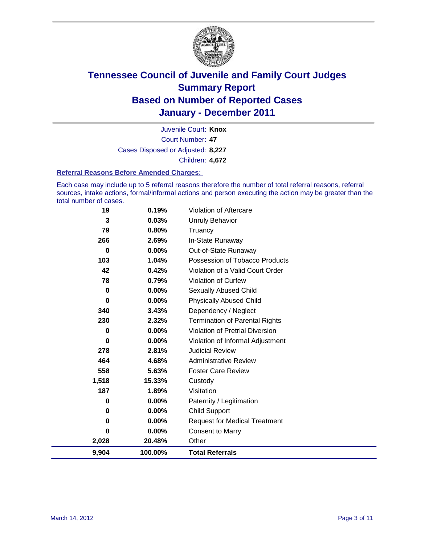

Court Number: **47** Juvenile Court: **Knox** Cases Disposed or Adjusted: **8,227** Children: **4,672**

#### **Referral Reasons Before Amended Charges:**

Each case may include up to 5 referral reasons therefore the number of total referral reasons, referral sources, intake actions, formal/informal actions and person executing the action may be greater than the total number of cases.

| 19          | 0.19%   | Violation of Aftercare                 |
|-------------|---------|----------------------------------------|
| 3           | 0.03%   | <b>Unruly Behavior</b>                 |
| 79          | 0.80%   | Truancy                                |
| 266         | 2.69%   | In-State Runaway                       |
| 0           | 0.00%   | Out-of-State Runaway                   |
| 103         | 1.04%   | Possession of Tobacco Products         |
| 42          | 0.42%   | Violation of a Valid Court Order       |
| 78          | 0.79%   | <b>Violation of Curfew</b>             |
| $\mathbf 0$ | 0.00%   | Sexually Abused Child                  |
| $\bf{0}$    | 0.00%   | <b>Physically Abused Child</b>         |
| 340         | 3.43%   | Dependency / Neglect                   |
| 230         | 2.32%   | Termination of Parental Rights         |
| 0           | 0.00%   | <b>Violation of Pretrial Diversion</b> |
| $\bf{0}$    | 0.00%   | Violation of Informal Adjustment       |
| 278         | 2.81%   | <b>Judicial Review</b>                 |
| 464         | 4.68%   | <b>Administrative Review</b>           |
| 558         | 5.63%   | <b>Foster Care Review</b>              |
| 1,518       | 15.33%  | Custody                                |
| 187         | 1.89%   | Visitation                             |
| 0           | 0.00%   | Paternity / Legitimation               |
| 0           | 0.00%   | <b>Child Support</b>                   |
| 0           | 0.00%   | <b>Request for Medical Treatment</b>   |
| 0           | 0.00%   | <b>Consent to Marry</b>                |
| 2,028       | 20.48%  | Other                                  |
| 9,904       | 100.00% | <b>Total Referrals</b>                 |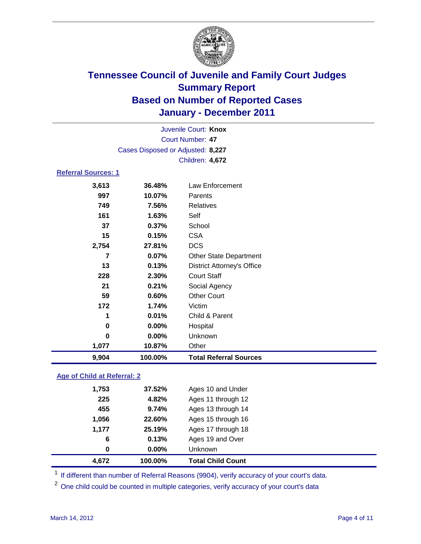

|                            | Juvenile Court: Knox              |                                   |  |
|----------------------------|-----------------------------------|-----------------------------------|--|
|                            |                                   | <b>Court Number: 47</b>           |  |
|                            | Cases Disposed or Adjusted: 8,227 |                                   |  |
|                            |                                   | Children: 4,672                   |  |
| <b>Referral Sources: 1</b> |                                   |                                   |  |
| 3,613                      | 36.48%                            | Law Enforcement                   |  |
| 997                        | 10.07%                            | Parents                           |  |
| 749                        | 7.56%                             | <b>Relatives</b>                  |  |
| 161                        | 1.63%                             | Self                              |  |
| 37                         | 0.37%                             | School                            |  |
| 15                         | 0.15%                             | <b>CSA</b>                        |  |
| 2,754                      | 27.81%                            | <b>DCS</b>                        |  |
| $\overline{7}$             | 0.07%                             | Other State Department            |  |
| 13                         | 0.13%                             | <b>District Attorney's Office</b> |  |
| 228                        | 2.30%                             | <b>Court Staff</b>                |  |
| 21                         | 0.21%                             | Social Agency                     |  |
| 59                         | 0.60%                             | <b>Other Court</b>                |  |
| 172                        | 1.74%                             | Victim                            |  |
| 1                          | 0.01%                             | Child & Parent                    |  |
| $\bf{0}$                   | 0.00%                             | Hospital                          |  |
| $\bf{0}$                   | 0.00%                             | Unknown                           |  |
| 1,077                      | 10.87%                            | Other                             |  |
| 9,904                      | 100.00%                           | <b>Total Referral Sources</b>     |  |

### **Age of Child at Referral: 2**

| <b>Total Child Count</b> |
|--------------------------|
|                          |
| Ages 19 and Over         |
| Ages 17 through 18       |
| Ages 15 through 16       |
| Ages 13 through 14       |
| Ages 11 through 12       |
| Ages 10 and Under        |
|                          |

<sup>1</sup> If different than number of Referral Reasons (9904), verify accuracy of your court's data.

<sup>2</sup> One child could be counted in multiple categories, verify accuracy of your court's data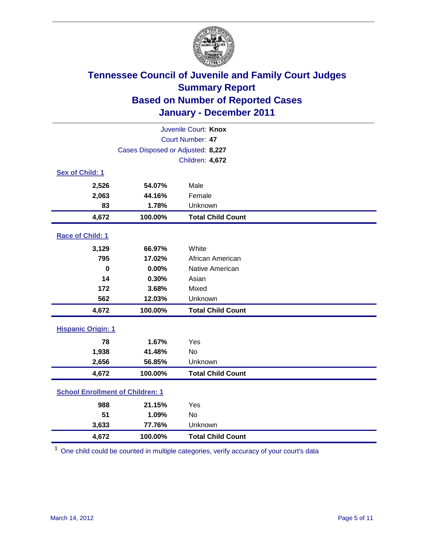

| Juvenile Court: Knox                    |                                   |                          |  |  |
|-----------------------------------------|-----------------------------------|--------------------------|--|--|
| Court Number: 47                        |                                   |                          |  |  |
|                                         | Cases Disposed or Adjusted: 8,227 |                          |  |  |
|                                         |                                   | Children: 4,672          |  |  |
| Sex of Child: 1                         |                                   |                          |  |  |
| 2,526                                   | 54.07%                            | Male                     |  |  |
| 2,063                                   | 44.16%                            | Female                   |  |  |
| 83                                      | 1.78%                             | Unknown                  |  |  |
| 4,672                                   | 100.00%                           | <b>Total Child Count</b> |  |  |
| Race of Child: 1                        |                                   |                          |  |  |
| 3,129                                   | 66.97%                            | White                    |  |  |
| 795                                     | 17.02%                            | African American         |  |  |
| $\mathbf 0$                             | 0.00%                             | Native American          |  |  |
| 14                                      | 0.30%                             | Asian                    |  |  |
| 172                                     | 3.68%                             | Mixed                    |  |  |
| 562                                     | 12.03%                            | Unknown                  |  |  |
| 4,672                                   | 100.00%                           | <b>Total Child Count</b> |  |  |
| <b>Hispanic Origin: 1</b>               |                                   |                          |  |  |
| 78                                      | 1.67%                             | Yes                      |  |  |
| 1,938                                   | 41.48%                            | <b>No</b>                |  |  |
| 2,656                                   | 56.85%                            | Unknown                  |  |  |
| 4,672                                   | 100.00%                           | <b>Total Child Count</b> |  |  |
| <b>School Enrollment of Children: 1</b> |                                   |                          |  |  |
| 988                                     | 21.15%                            | Yes                      |  |  |
| 51                                      | 1.09%                             | <b>No</b>                |  |  |
| 3,633                                   | 77.76%                            | Unknown                  |  |  |
| 4,672                                   | 100.00%                           | <b>Total Child Count</b> |  |  |

<sup>1</sup> One child could be counted in multiple categories, verify accuracy of your court's data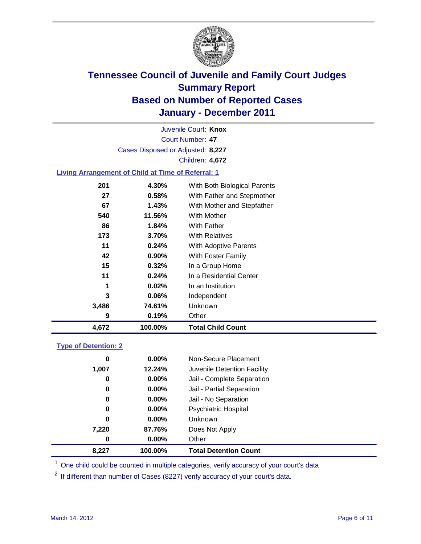

Court Number: **47** Juvenile Court: **Knox** Cases Disposed or Adjusted: **8,227** Children: **4,672**

### **Living Arrangement of Child at Time of Referral: 1**

| 4,672 | 100.00%  | <b>Total Child Count</b>     |
|-------|----------|------------------------------|
| 9     | 0.19%    | Other                        |
| 3,486 | 74.61%   | Unknown                      |
| 3     | 0.06%    | Independent                  |
| 1     | 0.02%    | In an Institution            |
| 11    | 0.24%    | In a Residential Center      |
| 15    | 0.32%    | In a Group Home              |
| 42    | $0.90\%$ | With Foster Family           |
| 11    | 0.24%    | With Adoptive Parents        |
| 173   | 3.70%    | <b>With Relatives</b>        |
| 86    | 1.84%    | With Father                  |
| 540   | 11.56%   | <b>With Mother</b>           |
| 67    | 1.43%    | With Mother and Stepfather   |
| 27    | 0.58%    | With Father and Stepmother   |
| 201   | 4.30%    | With Both Biological Parents |
|       |          |                              |

#### **Type of Detention: 2**

| 8,227 | 100.00%  | <b>Total Detention Count</b> |
|-------|----------|------------------------------|
| 0     | $0.00\%$ | Other                        |
| 7,220 | 87.76%   | Does Not Apply               |
| 0     | $0.00\%$ | <b>Unknown</b>               |
| 0     | 0.00%    | Psychiatric Hospital         |
| 0     | $0.00\%$ | Jail - No Separation         |
| 0     | $0.00\%$ | Jail - Partial Separation    |
| 0     | 0.00%    | Jail - Complete Separation   |
| 1,007 | 12.24%   | Juvenile Detention Facility  |
| 0     | $0.00\%$ | Non-Secure Placement         |
|       |          |                              |

<sup>1</sup> One child could be counted in multiple categories, verify accuracy of your court's data

<sup>2</sup> If different than number of Cases (8227) verify accuracy of your court's data.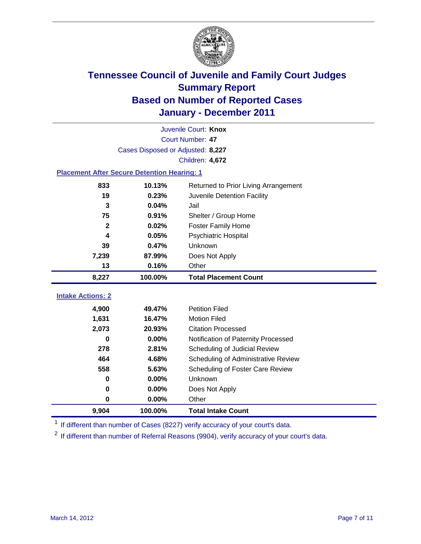

|                                                    | Juvenile Court: Knox              |                                      |  |  |  |
|----------------------------------------------------|-----------------------------------|--------------------------------------|--|--|--|
|                                                    | Court Number: 47                  |                                      |  |  |  |
|                                                    | Cases Disposed or Adjusted: 8,227 |                                      |  |  |  |
|                                                    |                                   | Children: 4,672                      |  |  |  |
| <b>Placement After Secure Detention Hearing: 1</b> |                                   |                                      |  |  |  |
| 833                                                | 10.13%                            | Returned to Prior Living Arrangement |  |  |  |
| 19                                                 | 0.23%                             | Juvenile Detention Facility          |  |  |  |
| 3                                                  | 0.04%                             | Jail                                 |  |  |  |
| 75                                                 | 0.91%                             | Shelter / Group Home                 |  |  |  |
| $\mathbf{2}$                                       | 0.02%                             | Foster Family Home                   |  |  |  |
| 4                                                  | 0.05%                             | Psychiatric Hospital                 |  |  |  |
| 39                                                 | 0.47%                             | Unknown                              |  |  |  |
| 7,239                                              | 87.99%                            | Does Not Apply                       |  |  |  |
| 13                                                 | 0.16%                             | Other                                |  |  |  |
| 8,227                                              | 100.00%                           | <b>Total Placement Count</b>         |  |  |  |
| <b>Intake Actions: 2</b>                           |                                   |                                      |  |  |  |
|                                                    |                                   |                                      |  |  |  |
| 4,900                                              | 49.47%                            | <b>Petition Filed</b>                |  |  |  |
| 1,631                                              | 16.47%                            | <b>Motion Filed</b>                  |  |  |  |
| 2,073                                              | 20.93%                            | <b>Citation Processed</b>            |  |  |  |
| U                                                  | 0.00%                             | Notification of Paternity Processed  |  |  |  |
| 278                                                | 2.81%                             | Scheduling of Judicial Review        |  |  |  |
| 464                                                | 4.68%                             | Scheduling of Administrative Review  |  |  |  |
| 558                                                | 5.63%                             | Scheduling of Foster Care Review     |  |  |  |
| 0                                                  | 0.00%                             | Unknown                              |  |  |  |
| 0                                                  | 0.00%                             | Does Not Apply                       |  |  |  |
| 0                                                  | 0.00%                             | Other                                |  |  |  |
| 9,904                                              | 100.00%                           | <b>Total Intake Count</b>            |  |  |  |

<sup>1</sup> If different than number of Cases (8227) verify accuracy of your court's data.

<sup>2</sup> If different than number of Referral Reasons (9904), verify accuracy of your court's data.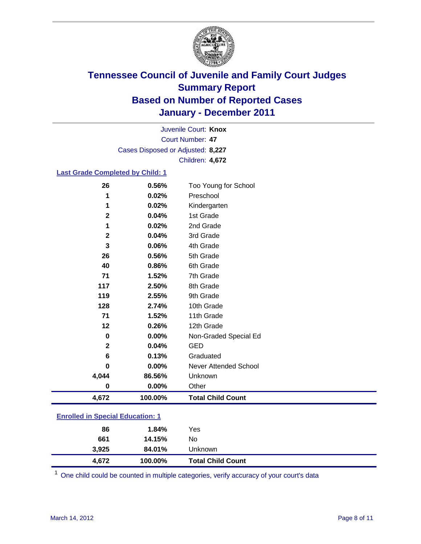

Court Number: **47** Juvenile Court: **Knox** Cases Disposed or Adjusted: **8,227** Children: **4,672**

### **Last Grade Completed by Child: 1**

| 26                                      | 0.56%   | Too Young for School         |  |
|-----------------------------------------|---------|------------------------------|--|
| 1                                       | 0.02%   | Preschool                    |  |
| 1                                       | 0.02%   | Kindergarten                 |  |
| 2                                       | 0.04%   | 1st Grade                    |  |
| 1                                       | 0.02%   | 2nd Grade                    |  |
| $\mathbf{2}$                            | 0.04%   | 3rd Grade                    |  |
| 3                                       | 0.06%   | 4th Grade                    |  |
| 26                                      | 0.56%   | 5th Grade                    |  |
| 40                                      | 0.86%   | 6th Grade                    |  |
| 71                                      | 1.52%   | 7th Grade                    |  |
| 117                                     | 2.50%   | 8th Grade                    |  |
| 119                                     | 2.55%   | 9th Grade                    |  |
| 128                                     | 2.74%   | 10th Grade                   |  |
| 71                                      | 1.52%   | 11th Grade                   |  |
| 12                                      | 0.26%   | 12th Grade                   |  |
| 0                                       | 0.00%   | Non-Graded Special Ed        |  |
| $\mathbf{2}$                            | 0.04%   | <b>GED</b>                   |  |
| 6                                       | 0.13%   | Graduated                    |  |
| 0                                       | 0.00%   | <b>Never Attended School</b> |  |
| 4,044                                   | 86.56%  | Unknown                      |  |
| $\bf{0}$                                | 0.00%   | Other                        |  |
| 4,672                                   | 100.00% | <b>Total Child Count</b>     |  |
| <b>Enrolled in Special Education: 1</b> |         |                              |  |
|                                         | $\sim$  |                              |  |

| 4,672 | 100.00%     | <b>Total Child Count</b> |
|-------|-------------|--------------------------|
| 3,925 | 84.01%      | Unknown                  |
| 661   | 14.15%      | No                       |
|       | 1.84%<br>86 | Yes                      |
|       |             |                          |

One child could be counted in multiple categories, verify accuracy of your court's data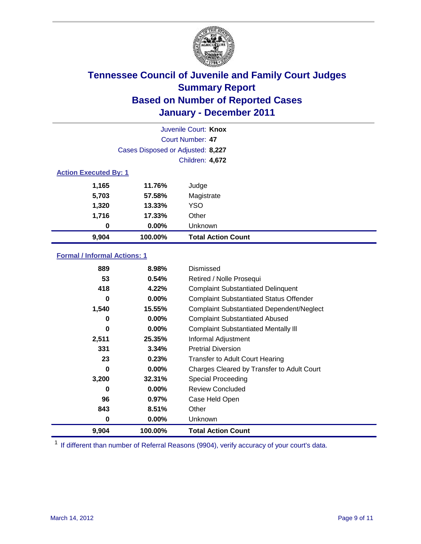

| Juvenile Court: Knox         |                                   |                           |  |  |  |
|------------------------------|-----------------------------------|---------------------------|--|--|--|
|                              | Court Number: 47                  |                           |  |  |  |
|                              | Cases Disposed or Adjusted: 8,227 |                           |  |  |  |
|                              |                                   | Children: 4,672           |  |  |  |
| <b>Action Executed By: 1</b> |                                   |                           |  |  |  |
| 1,165                        | 11.76%                            | Judge                     |  |  |  |
| 5,703                        | 57.58%                            | Magistrate                |  |  |  |
| 1,320                        | $13.33\%$                         | <b>YSO</b>                |  |  |  |
| 1,716                        | 17.33%                            | Other                     |  |  |  |
| 0                            | $0.00\%$                          | Unknown                   |  |  |  |
| 9,904                        | 100.00%                           | <b>Total Action Count</b> |  |  |  |

### **Formal / Informal Actions: 1**

| 889   | 8.98%    | Dismissed                                        |
|-------|----------|--------------------------------------------------|
| 53    | 0.54%    | Retired / Nolle Prosequi                         |
| 418   | 4.22%    | <b>Complaint Substantiated Delinquent</b>        |
| 0     | $0.00\%$ | <b>Complaint Substantiated Status Offender</b>   |
| 1,540 | 15.55%   | <b>Complaint Substantiated Dependent/Neglect</b> |
| 0     | $0.00\%$ | <b>Complaint Substantiated Abused</b>            |
| 0     | $0.00\%$ | <b>Complaint Substantiated Mentally III</b>      |
| 2,511 | 25.35%   | Informal Adjustment                              |
| 331   | 3.34%    | <b>Pretrial Diversion</b>                        |
| 23    | 0.23%    | <b>Transfer to Adult Court Hearing</b>           |
| 0     | $0.00\%$ | Charges Cleared by Transfer to Adult Court       |
| 3,200 | 32.31%   | <b>Special Proceeding</b>                        |
| 0     | $0.00\%$ | <b>Review Concluded</b>                          |
| 96    | 0.97%    | Case Held Open                                   |
| 843   | 8.51%    | Other                                            |
| 0     | $0.00\%$ | <b>Unknown</b>                                   |
| 9,904 | 100.00%  | <b>Total Action Count</b>                        |

<sup>1</sup> If different than number of Referral Reasons (9904), verify accuracy of your court's data.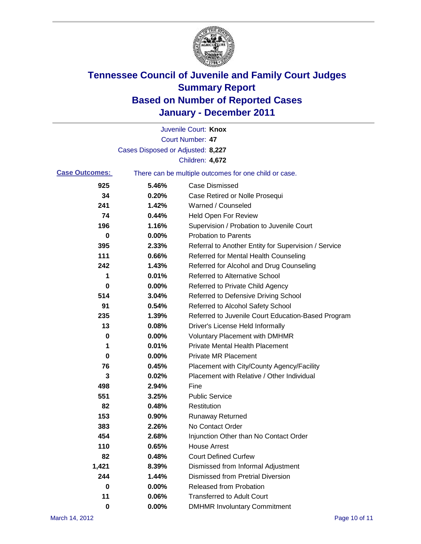

|                       |                                   | Juvenile Court: Knox                                  |
|-----------------------|-----------------------------------|-------------------------------------------------------|
|                       |                                   | <b>Court Number: 47</b>                               |
|                       | Cases Disposed or Adjusted: 8,227 |                                                       |
|                       |                                   | Children: 4,672                                       |
| <b>Case Outcomes:</b> |                                   | There can be multiple outcomes for one child or case. |
| 925                   | 5.46%                             | <b>Case Dismissed</b>                                 |
| 34                    | 0.20%                             | Case Retired or Nolle Prosequi                        |
| 241                   | 1.42%                             | Warned / Counseled                                    |
| 74                    | 0.44%                             | <b>Held Open For Review</b>                           |
| 196                   | 1.16%                             | Supervision / Probation to Juvenile Court             |
| 0                     | 0.00%                             | <b>Probation to Parents</b>                           |
| 395                   | 2.33%                             | Referral to Another Entity for Supervision / Service  |
| 111                   | 0.66%                             | Referred for Mental Health Counseling                 |
| 242                   | 1.43%                             | Referred for Alcohol and Drug Counseling              |
| 1                     | 0.01%                             | <b>Referred to Alternative School</b>                 |
| 0                     | 0.00%                             | Referred to Private Child Agency                      |
| 514                   | 3.04%                             | Referred to Defensive Driving School                  |
| 91                    | 0.54%                             | Referred to Alcohol Safety School                     |
| 235                   | 1.39%                             | Referred to Juvenile Court Education-Based Program    |
| 13                    | 0.08%                             | Driver's License Held Informally                      |
| 0                     | 0.00%                             | <b>Voluntary Placement with DMHMR</b>                 |
| 1                     | 0.01%                             | <b>Private Mental Health Placement</b>                |
| 0                     | 0.00%                             | <b>Private MR Placement</b>                           |
| 76                    | 0.45%                             | Placement with City/County Agency/Facility            |
| 3                     | 0.02%                             | Placement with Relative / Other Individual            |
| 498                   | 2.94%                             | Fine                                                  |
| 551                   | 3.25%                             | <b>Public Service</b>                                 |
| 82                    | 0.48%                             | Restitution                                           |
| 153                   | 0.90%                             | <b>Runaway Returned</b>                               |
| 383                   | 2.26%                             | No Contact Order                                      |
| 454                   | 2.68%                             | Injunction Other than No Contact Order                |
| 110                   | 0.65%                             | <b>House Arrest</b>                                   |
| 82                    | 0.48%                             | <b>Court Defined Curfew</b>                           |
| 1,421                 | 8.39%                             | Dismissed from Informal Adjustment                    |
| 244                   | 1.44%                             | <b>Dismissed from Pretrial Diversion</b>              |
| $\mathbf 0$           | 0.00%                             | Released from Probation                               |
| 11                    | 0.06%                             | <b>Transferred to Adult Court</b>                     |
| 0                     | $0.00\%$                          | <b>DMHMR Involuntary Commitment</b>                   |